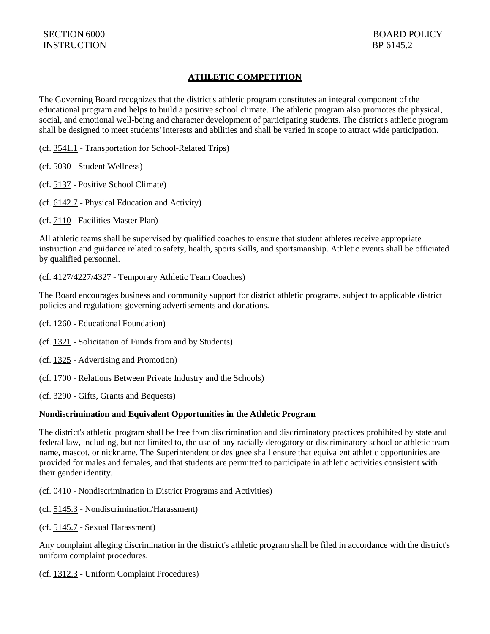# **ATHLETIC COMPETITION**

The Governing Board recognizes that the district's athletic program constitutes an integral component of the educational program and helps to build a positive school climate. The athletic program also promotes the physical, social, and emotional well-being and character development of participating students. The district's athletic program shall be designed to meet students' interests and abilities and shall be varied in scope to attract wide participation.

(cf. [3541.1](http://gamutonline.net/displayPolicy/352644/6) - Transportation for School-Related Trips)

(cf. [5030](http://gamutonline.net/displayPolicy/367951/6) - Student Wellness)

(cf. [5137](http://gamutonline.net/displayPolicy/170904/6) - Positive School Climate)

(cf. [6142.7](http://gamutonline.net/displayPolicy/1036974/6) - Physical Education and Activity)

(cf. [7110](http://gamutonline.net/displayPolicy/249204/6) - Facilities Master Plan)

All athletic teams shall be supervised by qualified coaches to ensure that student athletes receive appropriate instruction and guidance related to safety, health, sports skills, and sportsmanship. Athletic events shall be officiated by qualified personnel.

#### (cf. [4127/](http://gamutonline.net/displayPolicy/1075000/6)[4227/](http://gamutonline.net/displayPolicy/1075001/6)[4327](http://gamutonline.net/displayPolicy/1075002/6) - Temporary Athletic Team Coaches)

The Board encourages business and community support for district athletic programs, subject to applicable district policies and regulations governing advertisements and donations.

- (cf. [1260](http://gamutonline.net/displayPolicy/170630/6) Educational Foundation)
- (cf. [1321](http://gamutonline.net/displayPolicy/303889/6) Solicitation of Funds from and by Students)
- (cf. [1325](http://gamutonline.net/displayPolicy/249186/6) Advertising and Promotion)
- (cf. [1700](http://gamutonline.net/displayPolicy/170648/6) Relations Between Private Industry and the Schools)
- (cf. [3290](http://gamutonline.net/displayPolicy/170673/6) Gifts, Grants and Bequests)

### **Nondiscrimination and Equivalent Opportunities in the Athletic Program**

The district's athletic program shall be free from discrimination and discriminatory practices prohibited by state and federal law, including, but not limited to, the use of any racially derogatory or discriminatory school or athletic team name, mascot, or nickname. The Superintendent or designee shall ensure that equivalent athletic opportunities are provided for males and females, and that students are permitted to participate in athletic activities consistent with their gender identity.

(cf. [0410](http://gamutonline.net/displayPolicy/890898/6) - Nondiscrimination in District Programs and Activities)

- (cf. [5145.3](http://gamutonline.net/displayPolicy/1056960/6) Nondiscrimination/Harassment)
- (cf. [5145.7](http://gamutonline.net/displayPolicy/1056962/6) Sexual Harassment)

Any complaint alleging discrimination in the district's athletic program shall be filed in accordance with the district's uniform complaint procedures.

(cf. [1312.3](http://gamutonline.net/displayPolicy/1074993/6) - Uniform Complaint Procedures)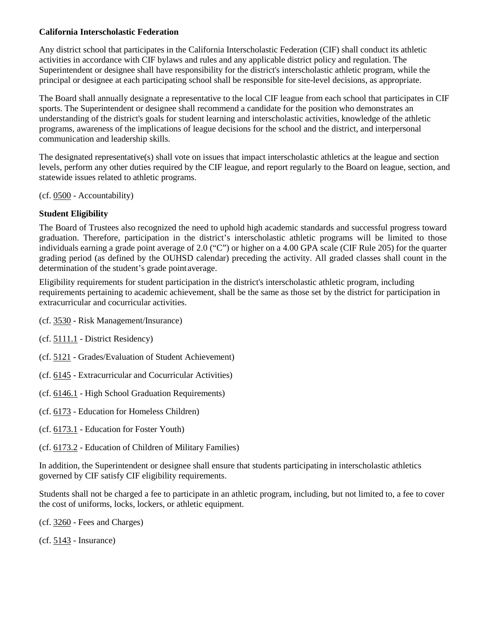### **California Interscholastic Federation**

Any district school that participates in the California Interscholastic Federation (CIF) shall conduct its athletic activities in accordance with CIF bylaws and rules and any applicable district policy and regulation. The Superintendent or designee shall have responsibility for the district's interscholastic athletic program, while the principal or designee at each participating school shall be responsible for site-level decisions, as appropriate.

The Board shall annually designate a representative to the local CIF league from each school that participates in CIF sports. The Superintendent or designee shall recommend a candidate for the position who demonstrates an understanding of the district's goals for student learning and interscholastic activities, knowledge of the athletic programs, awareness of the implications of league decisions for the school and the district, and interpersonal communication and leadership skills.

The designated representative(s) shall vote on issues that impact interscholastic athletics at the league and section levels, perform any other duties required by the CIF league, and report regularly to the Board on league, section, and statewide issues related to athletic programs.

(cf. [0500](http://gamutonline.net/displayPolicy/171712/6) - Accountability)

# **Student Eligibility**

The Board of Trustees also recognized the need to uphold high academic standards and successful progress toward graduation. Therefore, participation in the district's interscholastic athletic programs will be limited to those individuals earning a grade point average of 2.0 ("C") or higher on a 4.00 GPA scale (CIF Rule 205) for the quarter grading period (as defined by the OUHSD calendar) preceding the activity. All graded classes shall count in the determination of the student's grade pointaverage.

Eligibility requirements for student participation in the district's interscholastic athletic program, including requirements pertaining to academic achievement, shall be the same as those set by the district for participation in extracurricular and cocurricular activities.

- (cf. [3530](http://gamutonline.net/displayPolicy/170705/6) Risk Management/Insurance)
- (cf. [5111.1](http://gamutonline.net/displayPolicy/1020796/6) District Residency)
- (cf. [5121](http://gamutonline.net/displayPolicy/1053072/6) Grades/Evaluation of Student Achievement)
- (cf. [6145](http://gamutonline.net/displayPolicy/1075009/6) Extracurricular and Cocurricular Activities)
- (cf. [6146.1](http://gamutonline.net/displayPolicy/352667/6) High School Graduation Requirements)
- (cf. [6173](http://gamutonline.net/displayPolicy/274293/6) Education for Homeless Children)
- (cf. [6173.1](http://gamutonline.net/displayPolicy/324915/6) Education for Foster Youth)
- (cf. [6173.2](http://gamutonline.net/displayPolicy/599415/6) Education of Children of Military Families)

In addition, the Superintendent or designee shall ensure that students participating in interscholastic athletics governed by CIF satisfy CIF eligibility requirements.

Students shall not be charged a fee to participate in an athletic program, including, but not limited to, a fee to cover the cost of uniforms, locks, lockers, or athletic equipment.

(cf. [3260](http://gamutonline.net/displayPolicy/909474/6) - Fees and Charges)

(cf. [5143](http://gamutonline.net/displayPolicy/222837/6) - Insurance)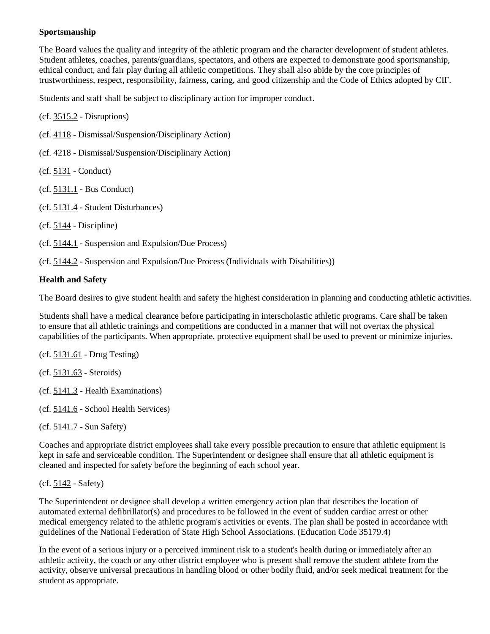## **Sportsmanship**

The Board values the quality and integrity of the athletic program and the character development of student athletes. Student athletes, coaches, parents/guardians, spectators, and others are expected to demonstrate good sportsmanship, ethical conduct, and fair play during all athletic competitions. They shall also abide by the core principles of trustworthiness, respect, responsibility, fairness, caring, and good citizenship and the Code of Ethics adopted by CIF.

Students and staff shall be subject to disciplinary action for improper conduct.

(cf. [3515.2](http://gamutonline.net/displayPolicy/171158/6) - Disruptions)

(cf. [4118](http://gamutonline.net/displayPolicy/931143/6) - Dismissal/Suspension/Disciplinary Action)

(cf. [4218](http://gamutonline.net/displayPolicy/170827/6) - Dismissal/Suspension/Disciplinary Action)

(cf. [5131](http://gamutonline.net/displayPolicy/931147/6) - Conduct)

(cf. [5131.1](http://gamutonline.net/displayPolicy/170885/6) - Bus Conduct)

(cf. [5131.4](http://gamutonline.net/displayPolicy/170887/6) - Student Disturbances)

(cf. [5144](http://gamutonline.net/displayPolicy/909486/6) - Discipline)

(cf. [5144.1](http://gamutonline.net/displayPolicy/909488/6) - Suspension and Expulsion/Due Process)

(cf. [5144.2](http://gamutonline.net/displayPolicy/288773/6) - Suspension and Expulsion/Due Process (Individuals with Disabilities))

## **Health and Safety**

The Board desires to give student health and safety the highest consideration in planning and conducting athletic activities.

Students shall have a medical clearance before participating in interscholastic athletic programs. Care shall be taken to ensure that all athletic trainings and competitions are conducted in a manner that will not overtax the physical capabilities of the participants. When appropriate, protective equipment shall be used to prevent or minimize injuries.

(cf. [5131.61](http://gamutonline.net/displayPolicy/303906/6) - Drug Testing)

(cf. [5131.63](http://gamutonline.net/displayPolicy/171232/6) - Steroids)

(cf. [5141.3](http://gamutonline.net/displayPolicy/171177/6) - Health Examinations)

(cf. [5141.6](http://gamutonline.net/displayPolicy/335607/6) - School Health Services)

(cf. [5141.7](http://gamutonline.net/displayPolicy/411100/6) - Sun Safety)

Coaches and appropriate district employees shall take every possible precaution to ensure that athletic equipment is kept in safe and serviceable condition. The Superintendent or designee shall ensure that all athletic equipment is cleaned and inspected for safety before the beginning of each school year.

### (cf. [5142](http://gamutonline.net/displayPolicy/288768/6) - Safety)

The Superintendent or designee shall develop a written emergency action plan that describes the location of automated external defibrillator(s) and procedures to be followed in the event of sudden cardiac arrest or other medical emergency related to the athletic program's activities or events. The plan shall be posted in accordance with guidelines of the National Federation of State High School Associations. (Education Code 35179.4)

In the event of a serious injury or a perceived imminent risk to a student's health during or immediately after an athletic activity, the coach or any other district employee who is present shall remove the student athlete from the activity, observe universal precautions in handling blood or other bodily fluid, and/or seek medical treatment for the student as appropriate.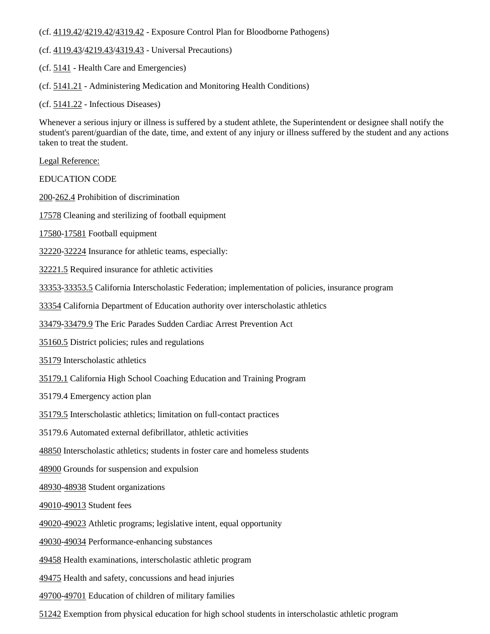(cf. [4119.42](http://gamutonline.net/displayPolicy/171718/6)[/4219.42/](http://gamutonline.net/displayPolicy/171293/6)[4319.42](http://gamutonline.net/displayPolicy/171294/6) - Exposure Control Plan for Bloodborne Pathogens)

(cf. [4119.43](http://gamutonline.net/displayPolicy/171720/6)[/4219.43/](http://gamutonline.net/displayPolicy/171297/6)[4319.43](http://gamutonline.net/displayPolicy/171298/6) - Universal Precautions)

(cf. [5141](http://gamutonline.net/displayPolicy/171176/6) - Health Care and Emergencies)

(cf. [5141.21](http://gamutonline.net/displayPolicy/324907/6) - Administering Medication and Monitoring Health Conditions)

(cf. [5141.22](http://gamutonline.net/displayPolicy/170910/6) - Infectious Diseases)

Whenever a serious injury or illness is suffered by a student athlete, the Superintendent or designee shall notify the student's parent/guardian of the date, time, and extent of any injury or illness suffered by the student and any actions taken to treat the student.

Legal Reference:

EDUCATION CODE

[200-](http://gamutonline.net/displayPolicy/138754/6)[262.4](http://gamutonline.net/displayPolicy/138778/6) Prohibition of discrimination

[17578](http://gamutonline.net/displayPolicy/137086/6) Cleaning and sterilizing of football equipment

[17580-](http://gamutonline.net/displayPolicy/137088/6)[17581](http://gamutonline.net/displayPolicy/137089/6) Football equipment

[32220-](http://gamutonline.net/displayPolicy/131122/6)[32224](http://gamutonline.net/displayPolicy/131126/6) Insurance for athletic teams, especially:

[32221.5](http://gamutonline.net/displayPolicy/420804/6) Required insurance for athletic activities

[33353-](http://gamutonline.net/displayPolicy/721393/6)[33353.5](http://gamutonline.net/displayPolicy/131289/6) California Interscholastic Federation; implementation of policies, insurance program

[33354](http://gamutonline.net/displayPolicy/226508/6) California Department of Education authority over interscholastic athletics

[33479-](http://gamutonline.net/displayPolicy/1076881/6)[33479.9](http://gamutonline.net/displayPolicy/1076890/6) The Eric Parades Sudden Cardiac Arrest Prevention Act

[35160.5](http://gamutonline.net/displayPolicy/133166/6) District policies; rules and regulations

[35179](http://gamutonline.net/displayPolicy/226509/6) Interscholastic athletics

[35179.1](http://gamutonline.net/displayPolicy/138066/6) California High School Coaching Education and Training Program

35179.4 Emergency action plan

[35179.5](http://gamutonline.net/displayPolicy/1006980/6) Interscholastic athletics; limitation on full-contact practices

35179.6 Automated external defibrillator, athletic activities

[48850](http://gamutonline.net/displayPolicy/137886/6) Interscholastic athletics; students in foster care and homeless students

[48900](http://gamutonline.net/displayPolicy/137736/6) Grounds for suspension and expulsion

[48930-](http://gamutonline.net/displayPolicy/132256/6)[48938](http://gamutonline.net/displayPolicy/132262/6) Student organizations

[49010-](http://gamutonline.net/displayPolicy/781183/6)[49013](http://gamutonline.net/displayPolicy/781186/6) Student fees

[49020-](http://gamutonline.net/displayPolicy/132272/6)[49023](http://gamutonline.net/displayPolicy/132275/6) Athletic programs; legislative intent, equal opportunity

[49030-](http://gamutonline.net/displayPolicy/388037/6)[49034](http://gamutonline.net/displayPolicy/388041/6) Performance-enhancing substances

[49458](http://gamutonline.net/displayPolicy/658651/6) Health examinations, interscholastic athletic program

[49475](http://gamutonline.net/displayPolicy/1006981/6) Health and safety, concussions and head injuries

[49700-](http://gamutonline.net/displayPolicy/600215/6)[49701](http://gamutonline.net/displayPolicy/600235/6) Education of children of military families

[51242](http://gamutonline.net/displayPolicy/132687/6) Exemption from physical education for high school students in interscholastic athletic program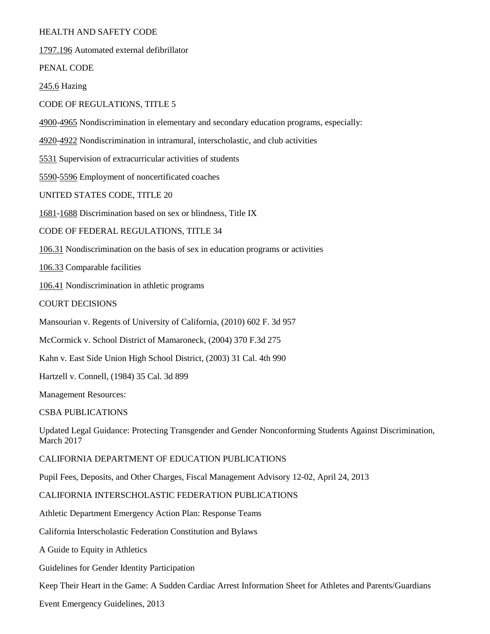### HEALTH AND SAFETY CODE

[1797.196](http://gamutonline.net/displayPolicy/369680/6) Automated external defibrillator

PENAL CODE

[245.6](http://gamutonline.net/displayPolicy/421010/6) Hazing

CODE OF REGULATIONS, TITLE 5

[4900](http://gamutonline.net/displayPolicy/187041/6)[-4965](http://gamutonline.net/displayPolicy/244922/6) Nondiscrimination in elementary and secondary education programs, especially:

[4920](http://gamutonline.net/displayPolicy/187048/6)[-4922](http://gamutonline.net/displayPolicy/187050/6) Nondiscrimination in intramural, interscholastic, and club activities

[5531](http://gamutonline.net/displayPolicy/187063/6) Supervision of extracurricular activities of students

[5590](http://gamutonline.net/displayPolicy/187069/6)[-5596](http://gamutonline.net/displayPolicy/187075/6) Employment of noncertificated coaches

UNITED STATES CODE, TITLE 20

[1681](http://gamutonline.net/displayPolicy/189980/6)[-1688](http://gamutonline.net/displayPolicy/189987/6) Discrimination based on sex or blindness, Title IX

CODE OF FEDERAL REGULATIONS, TITLE 34

[106.31](http://gamutonline.net/displayPolicy/274456/6) Nondiscrimination on the basis of sex in education programs or activities

[106.33](http://gamutonline.net/displayPolicy/191232/6) Comparable facilities

[106.41](http://gamutonline.net/displayPolicy/191240/6) Nondiscrimination in athletic programs

COURT DECISIONS

Mansourian v. Regents of University of California, (2010) 602 F. 3d 957

McCormick v. School District of Mamaroneck, (2004) 370 F.3d 275

Kahn v. East Side Union High School District, (2003) 31 Cal. 4th 990

Hartzell v. Connell, (1984) 35 Cal. 3d 899

Management Resources:

CSBA PUBLICATIONS

Updated Legal Guidance: Protecting Transgender and Gender Nonconforming Students Against Discrimination, March 2017

CALIFORNIA DEPARTMENT OF EDUCATION PUBLICATIONS

Pupil Fees, Deposits, and Other Charges, Fiscal Management Advisory 12-02, April 24, 2013

CALIFORNIA INTERSCHOLASTIC FEDERATION PUBLICATIONS

Athletic Department Emergency Action Plan: Response Teams

California Interscholastic Federation Constitution and Bylaws

A Guide to Equity in Athletics

Guidelines for Gender Identity Participation

Keep Their Heart in the Game: A Sudden Cardiac Arrest Information Sheet for Athletes and Parents/Guardians

Event Emergency Guidelines, 2013